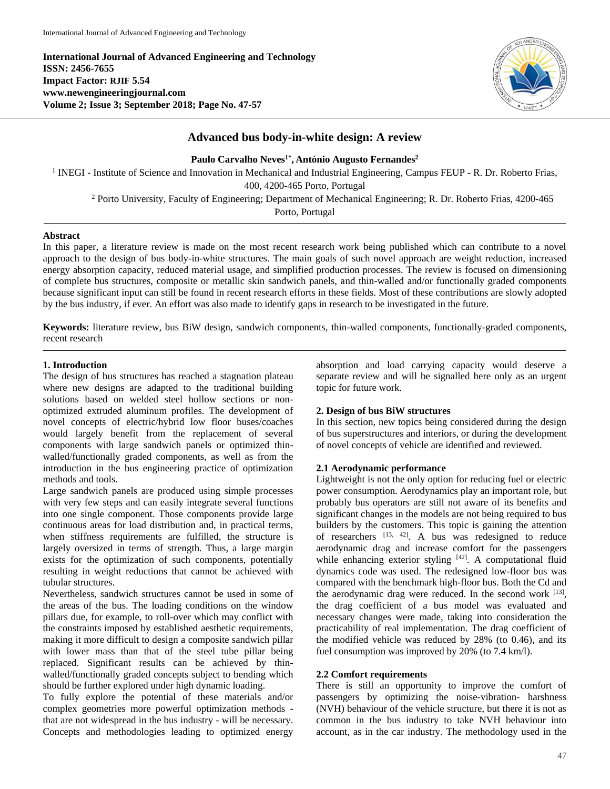**International Journal of Advanced Engineering and Technology ISSN: 2456-7655 Impact Factor: RJIF 5.54 www.newengineeringjournal.com Volume 2; Issue 3; September 2018; Page No. 47-57**



# **Advanced bus body-in-white design: A review**

**Paulo Carvalho Neves1\* , António Augusto Fernandes<sup>2</sup>**

<sup>1</sup> INEGI - Institute of Science and Innovation in Mechanical and Industrial Engineering, Campus FEUP - R. Dr. Roberto Frias, 400, 4200-465 Porto, Portugal

<sup>2</sup> Porto University, Faculty of Engineering; Department of Mechanical Engineering; R. Dr. Roberto Frias, 4200-465

Porto, Portugal

## **Abstract**

In this paper, a literature review is made on the most recent research work being published which can contribute to a novel approach to the design of bus body-in-white structures. The main goals of such novel approach are weight reduction, increased energy absorption capacity, reduced material usage, and simplified production processes. The review is focused on dimensioning of complete bus structures, composite or metallic skin sandwich panels, and thin-walled and/or functionally graded components because significant input can still be found in recent research efforts in these fields. Most of these contributions are slowly adopted by the bus industry, if ever. An effort was also made to identify gaps in research to be investigated in the future.

**Keywords:** literature review, bus BiW design, sandwich components, thin-walled components, functionally-graded components, recent research

#### **1. Introduction**

The design of bus structures has reached a stagnation plateau where new designs are adapted to the traditional building solutions based on welded steel hollow sections or nonoptimized extruded aluminum profiles. The development of novel concepts of electric/hybrid low floor buses/coaches would largely benefit from the replacement of several components with large sandwich panels or optimized thinwalled/functionally graded components, as well as from the introduction in the bus engineering practice of optimization methods and tools.

Large sandwich panels are produced using simple processes with very few steps and can easily integrate several functions into one single component. Those components provide large continuous areas for load distribution and, in practical terms, when stiffness requirements are fulfilled, the structure is largely oversized in terms of strength. Thus, a large margin exists for the optimization of such components, potentially resulting in weight reductions that cannot be achieved with tubular structures.

Nevertheless, sandwich structures cannot be used in some of the areas of the bus. The loading conditions on the window pillars due, for example, to roll-over which may conflict with the constraints imposed by established aesthetic requirements, making it more difficult to design a composite sandwich pillar with lower mass than that of the steel tube pillar being replaced. Significant results can be achieved by thinwalled/functionally graded concepts subject to bending which should be further explored under high dynamic loading.

To fully explore the potential of these materials and/or complex geometries more powerful optimization methods that are not widespread in the bus industry - will be necessary. Concepts and methodologies leading to optimized energy absorption and load carrying capacity would deserve a separate review and will be signalled here only as an urgent topic for future work.

# **2. Design of bus BiW structures**

In this section, new topics being considered during the design of bus superstructures and interiors, or during the development of novel concepts of vehicle are identified and reviewed.

## **2.1 Aerodynamic performance**

Lightweight is not the only option for reducing fuel or electric power consumption. Aerodynamics play an important role, but probably bus operators are still not aware of its benefits and significant changes in the models are not being required to bus builders by the customers. This topic is gaining the attention of researchers  $^{[13, 42]}$ . A bus was redesigned to reduce aerodynamic drag and increase comfort for the passengers while enhancing exterior styling  $[42]$ . A computational fluid dynamics code was used. The redesigned low-floor bus was compared with the benchmark high-floor bus. Both the Cd and the aerodynamic drag were reduced. In the second work [13], the drag coefficient of a bus model was evaluated and necessary changes were made, taking into consideration the practicability of real implementation. The drag coefficient of the modified vehicle was reduced by 28% (to 0.46), and its fuel consumption was improved by 20% (to 7.4 km/l).

#### **2.2 Comfort requirements**

There is still an opportunity to improve the comfort of passengers by optimizing the noise-vibration- harshness (NVH) behaviour of the vehicle structure, but there it is not as common in the bus industry to take NVH behaviour into account, as in the car industry. The methodology used in the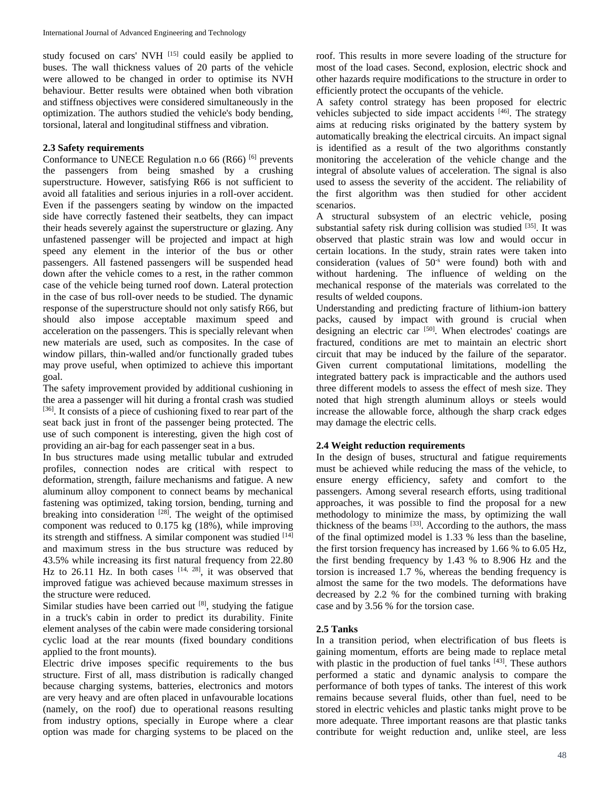study focused on cars' NVH [15] could easily be applied to buses. The wall thickness values of 20 parts of the vehicle were allowed to be changed in order to optimise its NVH behaviour. Better results were obtained when both vibration and stiffness objectives were considered simultaneously in the optimization. The authors studied the vehicle's body bending, torsional, lateral and longitudinal stiffness and vibration.

#### **2.3 Safety requirements**

Conformance to UNECE Regulation n.o 66 (R66)<sup>[6]</sup> prevents the passengers from being smashed by a crushing superstructure. However, satisfying R66 is not sufficient to avoid all fatalities and serious injuries in a roll-over accident. Even if the passengers seating by window on the impacted side have correctly fastened their seatbelts, they can impact their heads severely against the superstructure or glazing. Any unfastened passenger will be projected and impact at high speed any element in the interior of the bus or other passengers. All fastened passengers will be suspended head down after the vehicle comes to a rest, in the rather common case of the vehicle being turned roof down. Lateral protection in the case of bus roll-over needs to be studied. The dynamic response of the superstructure should not only satisfy R66, but should also impose acceptable maximum speed and acceleration on the passengers. This is specially relevant when new materials are used, such as composites. In the case of window pillars, thin-walled and/or functionally graded tubes may prove useful, when optimized to achieve this important goal.

The safety improvement provided by additional cushioning in the area a passenger will hit during a frontal crash was studied [36]. It consists of a piece of cushioning fixed to rear part of the seat back just in front of the passenger being protected. The use of such component is interesting, given the high cost of providing an air-bag for each passenger seat in a bus.

In bus structures made using metallic tubular and extruded profiles, connection nodes are critical with respect to deformation, strength, failure mechanisms and fatigue. A new aluminum alloy component to connect beams by mechanical fastening was optimized, taking torsion, bending, turning and breaking into consideration  $[28]$ . The weight of the optimised component was reduced to 0.175 kg (18%), while improving its strength and stiffness. A similar component was studied [14] and maximum stress in the bus structure was reduced by 43.5% while increasing its first natural frequency from 22.80 Hz to  $26.11$  Hz. In both cases  $[14, 28]$ , it was observed that improved fatigue was achieved because maximum stresses in the structure were reduced.

Similar studies have been carried out  $[8]$ , studying the fatigue in a truck's cabin in order to predict its durability. Finite element analyses of the cabin were made considering torsional cyclic load at the rear mounts (fixed boundary conditions applied to the front mounts).

Electric drive imposes specific requirements to the bus structure. First of all, mass distribution is radically changed because charging systems, batteries, electronics and motors are very heavy and are often placed in unfavourable locations (namely, on the roof) due to operational reasons resulting from industry options, specially in Europe where a clear option was made for charging systems to be placed on the

roof. This results in more severe loading of the structure for most of the load cases. Second, explosion, electric shock and other hazards require modifications to the structure in order to efficiently protect the occupants of the vehicle.

A safety control strategy has been proposed for electric vehicles subjected to side impact accidents  $[46]$ . The strategy aims at reducing risks originated by the battery system by automatically breaking the electrical circuits. An impact signal is identified as a result of the two algorithms constantly monitoring the acceleration of the vehicle change and the integral of absolute values of acceleration. The signal is also used to assess the severity of the accident. The reliability of the first algorithm was then studied for other accident scenarios.

A structural subsystem of an electric vehicle, posing substantial safety risk during collision was studied [35]. It was observed that plastic strain was low and would occur in certain locations. In the study, strain rates were taken into consideration (values of 50<sup>-s</sup> were found) both with and without hardening. The influence of welding on the mechanical response of the materials was correlated to the results of welded coupons.

Understanding and predicting fracture of lithium-ion battery packs, caused by impact with ground is crucial when designing an electric car [50]. When electrodes' coatings are fractured, conditions are met to maintain an electric short circuit that may be induced by the failure of the separator. Given current computational limitations, modelling the integrated battery pack is impracticable and the authors used three different models to assess the effect of mesh size. They noted that high strength aluminum alloys or steels would increase the allowable force, although the sharp crack edges may damage the electric cells.

## **2.4 Weight reduction requirements**

In the design of buses, structural and fatigue requirements must be achieved while reducing the mass of the vehicle, to ensure energy efficiency, safety and comfort to the passengers. Among several research efforts, using traditional approaches, it was possible to find the proposal for a new methodology to minimize the mass, by optimizing the wall thickness of the beams [33]. According to the authors, the mass of the final optimized model is 1.33 % less than the baseline, the first torsion frequency has increased by 1.66 % to 6.05 Hz, the first bending frequency by 1.43 % to 8.906 Hz and the torsion is increased 1.7 %, whereas the bending frequency is almost the same for the two models. The deformations have decreased by 2.2 % for the combined turning with braking case and by 3.56 % for the torsion case.

## **2.5 Tanks**

In a transition period, when electrification of bus fleets is gaining momentum, efforts are being made to replace metal with plastic in the production of fuel tanks  $[43]$ . These authors performed a static and dynamic analysis to compare the performance of both types of tanks. The interest of this work remains because several fluids, other than fuel, need to be stored in electric vehicles and plastic tanks might prove to be more adequate. Three important reasons are that plastic tanks contribute for weight reduction and, unlike steel, are less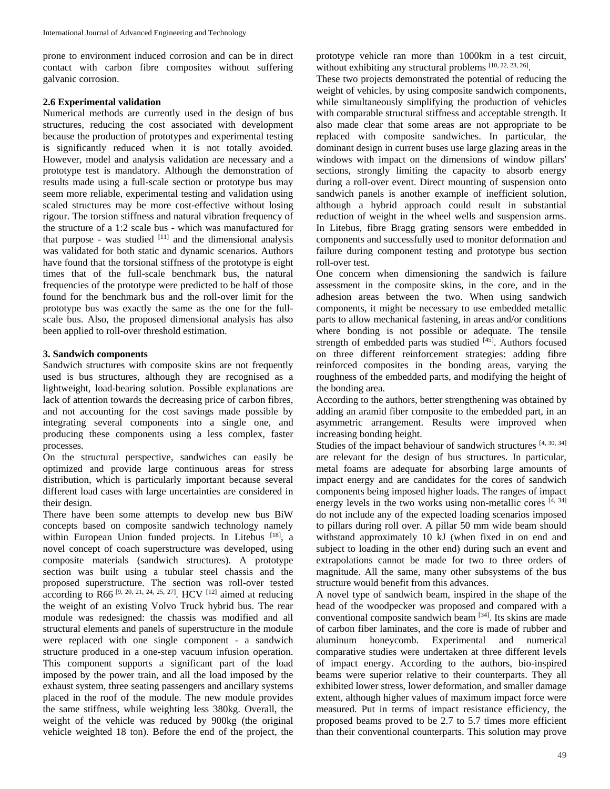prone to environment induced corrosion and can be in direct contact with carbon fibre composites without suffering galvanic corrosion.

## **2.6 Experimental validation**

Numerical methods are currently used in the design of bus structures, reducing the cost associated with development because the production of prototypes and experimental testing is significantly reduced when it is not totally avoided. However, model and analysis validation are necessary and a prototype test is mandatory. Although the demonstration of results made using a full-scale section or prototype bus may seem more reliable, experimental testing and validation using scaled structures may be more cost-effective without losing rigour. The torsion stiffness and natural vibration frequency of the structure of a 1:2 scale bus - which was manufactured for that purpose - was studied  $[11]$  and the dimensional analysis was validated for both static and dynamic scenarios. Authors have found that the torsional stiffness of the prototype is eight times that of the full-scale benchmark bus, the natural frequencies of the prototype were predicted to be half of those found for the benchmark bus and the roll-over limit for the prototype bus was exactly the same as the one for the fullscale bus. Also, the proposed dimensional analysis has also been applied to roll-over threshold estimation.

# **3. Sandwich components**

Sandwich structures with composite skins are not frequently used is bus structures, although they are recognised as a lightweight, load-bearing solution. Possible explanations are lack of attention towards the decreasing price of carbon fibres, and not accounting for the cost savings made possible by integrating several components into a single one, and producing these components using a less complex, faster processes.

On the structural perspective, sandwiches can easily be optimized and provide large continuous areas for stress distribution, which is particularly important because several different load cases with large uncertainties are considered in their design.

There have been some attempts to develop new bus BiW concepts based on composite sandwich technology namely within European Union funded projects. In Litebus [18], a novel concept of coach superstructure was developed, using composite materials (sandwich structures). A prototype section was built using a tubular steel chassis and the proposed superstructure. The section was roll-over tested according to R66<sup>[9, 20, 21, 24, 25, 27]</sup>. HCV<sup>[12]</sup> aimed at reducing the weight of an existing Volvo Truck hybrid bus. The rear module was redesigned: the chassis was modified and all structural elements and panels of superstructure in the module were replaced with one single component - a sandwich structure produced in a one-step vacuum infusion operation. This component supports a significant part of the load imposed by the power train, and all the load imposed by the exhaust system, three seating passengers and ancillary systems placed in the roof of the module. The new module provides the same stiffness, while weighting less 380kg. Overall, the weight of the vehicle was reduced by 900kg (the original vehicle weighted 18 ton). Before the end of the project, the

prototype vehicle ran more than 1000km in a test circuit, without exhibiting any structural problems  $[10, 22, 23, 26]$ .

These two projects demonstrated the potential of reducing the weight of vehicles, by using composite sandwich components, while simultaneously simplifying the production of vehicles with comparable structural stiffness and acceptable strength. It also made clear that some areas are not appropriate to be replaced with composite sandwiches. In particular, the dominant design in current buses use large glazing areas in the windows with impact on the dimensions of window pillars' sections, strongly limiting the capacity to absorb energy during a roll-over event. Direct mounting of suspension onto sandwich panels is another example of inefficient solution, although a hybrid approach could result in substantial reduction of weight in the wheel wells and suspension arms. In Litebus, fibre Bragg grating sensors were embedded in components and successfully used to monitor deformation and failure during component testing and prototype bus section roll-over test.

One concern when dimensioning the sandwich is failure assessment in the composite skins, in the core, and in the adhesion areas between the two. When using sandwich components, it might be necessary to use embedded metallic parts to allow mechanical fastening, in areas and/or conditions where bonding is not possible or adequate. The tensile strength of embedded parts was studied  $[45]$ . Authors focused on three different reinforcement strategies: adding fibre reinforced composites in the bonding areas, varying the roughness of the embedded parts, and modifying the height of the bonding area.

According to the authors, better strengthening was obtained by adding an aramid fiber composite to the embedded part, in an asymmetric arrangement. Results were improved when increasing bonding height.

Studies of the impact behaviour of sandwich structures [4, 30, 34] are relevant for the design of bus structures. In particular, metal foams are adequate for absorbing large amounts of impact energy and are candidates for the cores of sandwich components being imposed higher loads. The ranges of impact energy levels in the two works using non-metallic cores  $[4, 34]$ do not include any of the expected loading scenarios imposed to pillars during roll over. A pillar 50 mm wide beam should withstand approximately 10 kJ (when fixed in on end and subject to loading in the other end) during such an event and extrapolations cannot be made for two to three orders of magnitude. All the same, many other subsystems of the bus structure would benefit from this advances.

A novel type of sandwich beam, inspired in the shape of the head of the woodpecker was proposed and compared with a conventional composite sandwich beam [34]. Its skins are made of carbon fiber laminates, and the core is made of rubber and aluminum honeycomb. Experimental and numerical comparative studies were undertaken at three different levels of impact energy. According to the authors, bio-inspired beams were superior relative to their counterparts. They all exhibited lower stress, lower deformation, and smaller damage extent, although higher values of maximum impact force were measured. Put in terms of impact resistance efficiency, the proposed beams proved to be 2.7 to 5.7 times more efficient than their conventional counterparts. This solution may prove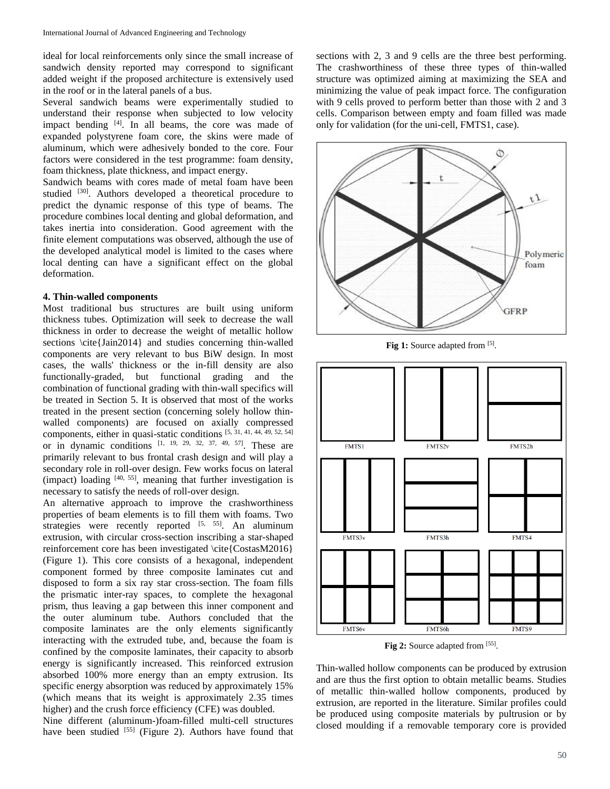ideal for local reinforcements only since the small increase of sandwich density reported may correspond to significant added weight if the proposed architecture is extensively used in the roof or in the lateral panels of a bus.

Several sandwich beams were experimentally studied to understand their response when subjected to low velocity impact bending [4]. In all beams, the core was made of expanded polystyrene foam core, the skins were made of aluminum, which were adhesively bonded to the core. Four factors were considered in the test programme: foam density, foam thickness, plate thickness, and impact energy.

Sandwich beams with cores made of metal foam have been studied [30]. Authors developed a theoretical procedure to predict the dynamic response of this type of beams. The procedure combines local denting and global deformation, and takes inertia into consideration. Good agreement with the finite element computations was observed, although the use of the developed analytical model is limited to the cases where local denting can have a significant effect on the global deformation.

#### **4. Thin-walled components**

Most traditional bus structures are built using uniform thickness tubes. Optimization will seek to decrease the wall thickness in order to decrease the weight of metallic hollow sections \cite{Jain2014} and studies concerning thin-walled components are very relevant to bus BiW design. In most cases, the walls' thickness or the in-fill density are also functionally-graded, but functional grading and the combination of functional grading with thin-wall specifics will be treated in Section 5. It is observed that most of the works treated in the present section (concerning solely hollow thinwalled components) are focused on axially compressed components, either in quasi-static conditions [5, 31, 41, 44, 49, 52, 54] or in dynamic conditions  $\begin{bmatrix} 1, & 19, & 29, & 32, & 37, & 49, & 57 \end{bmatrix}$ . These are primarily relevant to bus frontal crash design and will play a secondary role in roll-over design. Few works focus on lateral (impact) loading  $[40, 55]$ , meaning that further investigation is necessary to satisfy the needs of roll-over design.

An alternative approach to improve the crashworthiness properties of beam elements is to fill them with foams. Two strategies were recently reported  $[5, 55]$ . An aluminum extrusion, with circular cross-section inscribing a star-shaped reinforcement core has been investigated \cite{CostasM2016} (Figure 1). This core consists of a hexagonal, independent component formed by three composite laminates cut and disposed to form a six ray star cross-section. The foam fills the prismatic inter-ray spaces, to complete the hexagonal prism, thus leaving a gap between this inner component and the outer aluminum tube. Authors concluded that the composite laminates are the only elements significantly interacting with the extruded tube, and, because the foam is confined by the composite laminates, their capacity to absorb energy is significantly increased. This reinforced extrusion absorbed 100% more energy than an empty extrusion. Its specific energy absorption was reduced by approximately 15% (which means that its weight is approximately 2.35 times higher) and the crush force efficiency (CFE) was doubled.

Nine different (aluminum-)foam-filled multi-cell structures have been studied [55] (Figure 2). Authors have found that sections with 2, 3 and 9 cells are the three best performing. The crashworthiness of these three types of thin-walled structure was optimized aiming at maximizing the SEA and minimizing the value of peak impact force. The configuration with 9 cells proved to perform better than those with 2 and 3 cells. Comparison between empty and foam filled was made only for validation (for the uni-cell, FMTS1, case).



Fig 1: Source adapted from [5].



Fig 2: Source adapted from [55].

Thin-walled hollow components can be produced by extrusion and are thus the first option to obtain metallic beams. Studies of metallic thin-walled hollow components, produced by extrusion, are reported in the literature. Similar profiles could be produced using composite materials by pultrusion or by closed moulding if a removable temporary core is provided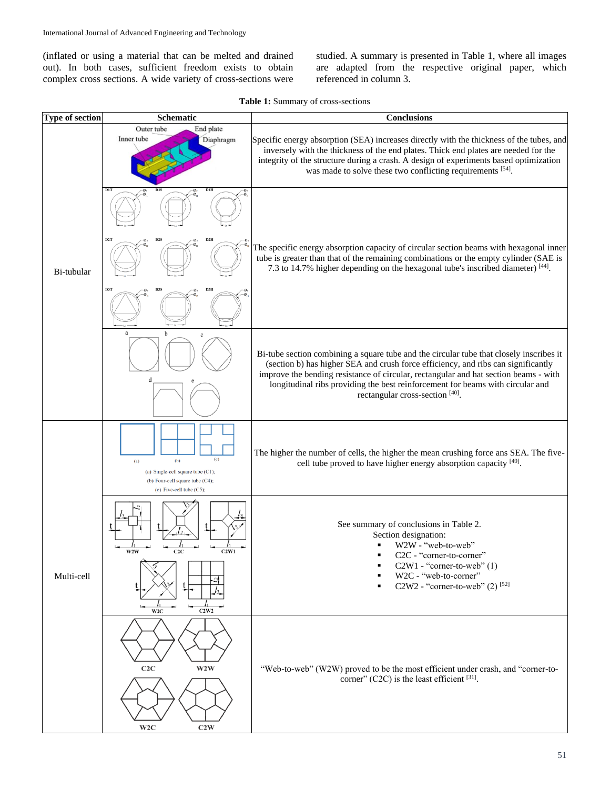(inflated or using a material that can be melted and drained out). In both cases, sufficient freedom exists to obtain complex cross sections. A wide variety of cross-sections were

studied. A summary is presented in Table 1, where all images are adapted from the respective original paper, which referenced in column 3.

**Table 1:** Summary of cross-sections

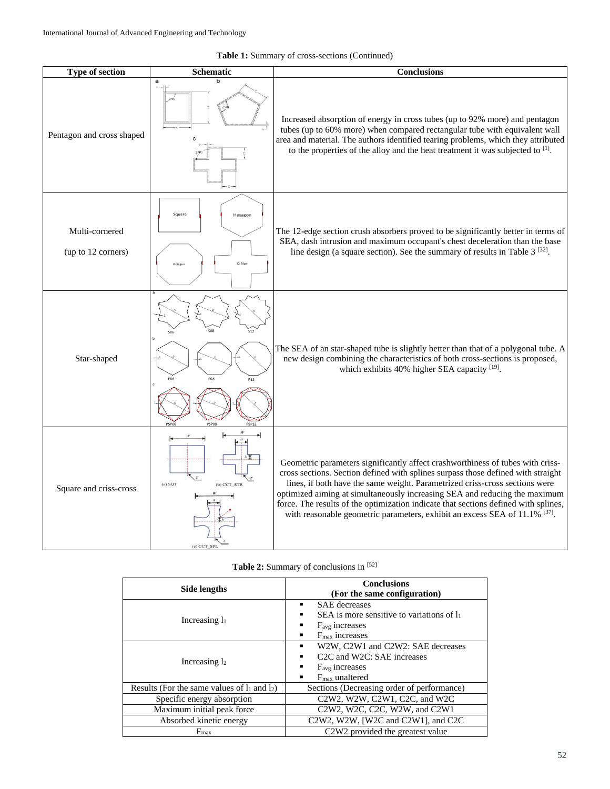| <b>Table 1:</b> Summary of cross-sections (Continued) |  |  |  |  |  |
|-------------------------------------------------------|--|--|--|--|--|
|-------------------------------------------------------|--|--|--|--|--|

| Type of section                      | Schematic                                 | <b>Conclusions</b>                                                                                                                                                                                                                                                                                                                                                                                                                                                                                   |
|--------------------------------------|-------------------------------------------|------------------------------------------------------------------------------------------------------------------------------------------------------------------------------------------------------------------------------------------------------------------------------------------------------------------------------------------------------------------------------------------------------------------------------------------------------------------------------------------------------|
| Pentagon and cross shaped            | $\mathbf{a}$                              | Increased absorption of energy in cross tubes (up to 92% more) and pentagon<br>tubes (up to 60% more) when compared rectangular tube with equivalent wall<br>area and material. The authors identified tearing problems, which they attributed<br>to the properties of the alloy and the heat treatment it was subjected to [1].                                                                                                                                                                     |
| Multi-cornered<br>(up to 12 corners) | Square<br>Hexagon<br>12 Edge              | The 12-edge section crush absorbers proved to be significantly better in terms of<br>SEA, dash intrusion and maximum occupant's chest deceleration than the base<br>line design (a square section). See the summary of results in Table 3 <sup>[32]</sup> .                                                                                                                                                                                                                                          |
| Star-shaped                          | P12<br><b>PSP08</b><br>PSP12<br>PSPO      | The SEA of an star-shaped tube is slightly better than that of a polygonal tube. A<br>new design combining the characteristics of both cross-sections is proposed,<br>which exhibits 40% higher SEA capacity [19].                                                                                                                                                                                                                                                                                   |
| Square and criss-cross               | (a) SQT<br>(b) CCT_STR<br>$(c)$ CCT $S$ . | Geometric parameters significantly affect crashworthiness of tubes with criss-<br>cross sections. Section defined with splines surpass those defined with straight<br>lines, if both have the same weight. Parametrized criss-cross sections were<br>optimized aiming at simultaneously increasing SEA and reducing the maximum<br>force. The results of the optimization indicate that sections defined with splines,<br>with reasonable geometric parameters, exhibit an excess SEA of 11.1% [37]. |

|  | Table 2: Summary of conclusions in [52] |  |  |  |  |
|--|-----------------------------------------|--|--|--|--|
|--|-----------------------------------------|--|--|--|--|

| Side lengths                                      | <b>Conclusions</b><br>(For the same configuration)                                                                                                                |  |  |
|---------------------------------------------------|-------------------------------------------------------------------------------------------------------------------------------------------------------------------|--|--|
|                                                   | <b>SAE</b> decreases<br>٠                                                                                                                                         |  |  |
| Increasing $l_1$                                  | SEA is more sensitive to variations of $l_1$<br>$\blacksquare$                                                                                                    |  |  |
|                                                   | F <sub>avg</sub> increases<br>٠                                                                                                                                   |  |  |
|                                                   | $Fmax$ increases<br>$\blacksquare$                                                                                                                                |  |  |
| Increasing $l_2$                                  | W2W, C2W1 and C2W2: SAE decreases<br>٠                                                                                                                            |  |  |
|                                                   | C <sub>2</sub> C and W <sub>2</sub> C: SAE increases<br>٠                                                                                                         |  |  |
|                                                   | $F_{\text{avg}}$ increases<br>$\blacksquare$                                                                                                                      |  |  |
|                                                   | $F_{\text{max}}$ unaltered<br>$\blacksquare$                                                                                                                      |  |  |
| Results (For the same values of $l_1$ and $l_2$ ) | Sections (Decreasing order of performance)                                                                                                                        |  |  |
| Specific energy absorption                        | C2W2, W2W, C2W1, C2C, and W2C                                                                                                                                     |  |  |
| Maximum initial peak force                        | C <sub>2</sub> W <sub>2</sub> , W <sub>2</sub> C <sub>1</sub> , C <sub>2</sub> C <sub>1</sub> , W <sub>2</sub> W <sub>1</sub> , and C <sub>2</sub> W <sub>1</sub> |  |  |
| Absorbed kinetic energy                           | C2W2, W2W, [W2C and C2W1], and C2C                                                                                                                                |  |  |
| F <sub>max</sub>                                  | C <sub>2</sub> W <sub>2</sub> provided the greatest value                                                                                                         |  |  |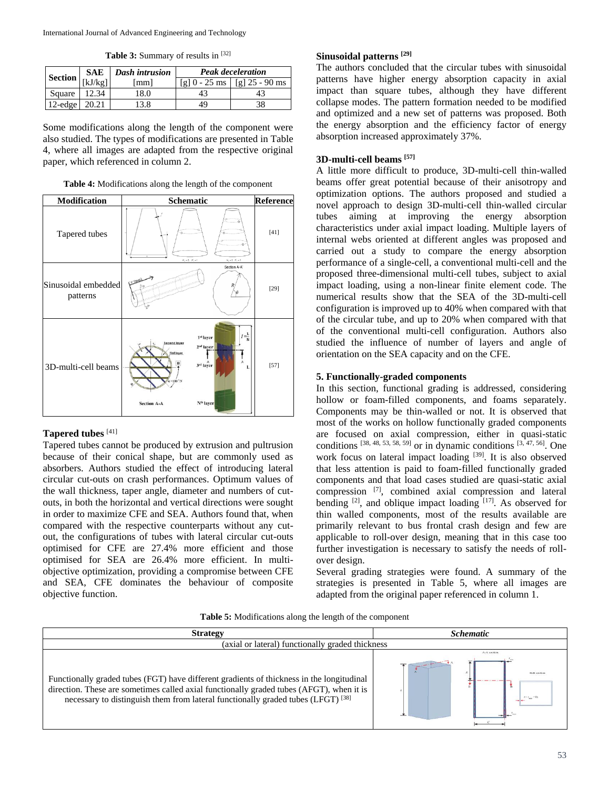Table 3: Summary of results in [32]

|                                                      |       | <b>SAE</b>   Dash intrusion | <b>Peak deceleration</b> |                                    |
|------------------------------------------------------|-------|-----------------------------|--------------------------|------------------------------------|
| $\left \frac{\text{Section}}{\text{[kJ/kg]}}\right $ |       | lmm l                       |                          | [g] $0 - 25$ ms   [g] $25 - 90$ ms |
| Square                                               | 12.34 | .8.0                        | 43                       | 43                                 |
| 12-edge $\vert$ 20.21                                |       | 3.8                         | 49                       | 38                                 |

Some modifications along the length of the component were also studied. The types of modifications are presented in Table 4, where all images are adapted from the respective original paper, which referenced in column 2.

**Table 4:** Modifications along the length of the component



# **Tapered tubes** [41]

Tapered tubes cannot be produced by extrusion and pultrusion because of their conical shape, but are commonly used as absorbers. Authors studied the effect of introducing lateral circular cut-outs on crash performances. Optimum values of the wall thickness, taper angle, diameter and numbers of cutouts, in both the horizontal and vertical directions were sought in order to maximize CFE and SEA. Authors found that, when compared with the respective counterparts without any cutout, the configurations of tubes with lateral circular cut-outs optimised for CFE are 27.4% more efficient and those optimised for SEA are 26.4% more efficient. In multiobjective optimization, providing a compromise between CFE and SEA, CFE dominates the behaviour of composite objective function.

## **Sinusoidal patterns [29]**

The authors concluded that the circular tubes with sinusoidal patterns have higher energy absorption capacity in axial impact than square tubes, although they have different collapse modes. The pattern formation needed to be modified and optimized and a new set of patterns was proposed. Both the energy absorption and the efficiency factor of energy absorption increased approximately 37%.

## **3D-multi-cell beams [57]**

A little more difficult to produce, 3D-multi-cell thin-walled beams offer great potential because of their anisotropy and optimization options. The authors proposed and studied a novel approach to design 3D-multi-cell thin-walled circular tubes aiming at improving the energy absorption characteristics under axial impact loading. Multiple layers of internal webs oriented at different angles was proposed and carried out a study to compare the energy absorption performance of a single-cell, a conventional multi-cell and the proposed three-dimensional multi-cell tubes, subject to axial impact loading, using a non-linear finite element code. The numerical results show that the SEA of the 3D-multi-cell configuration is improved up to 40% when compared with that of the circular tube, and up to 20% when compared with that of the conventional multi-cell configuration. Authors also studied the influence of number of layers and angle of orientation on the SEA capacity and on the CFE.

## **5. Functionally-graded components**

In this section, functional grading is addressed, considering hollow or foam-filled components, and foams separately. Components may be thin-walled or not. It is observed that most of the works on hollow functionally graded components are focused on axial compression, either in quasi-static conditions  $[38, 48, 53, 58, 59]$  or in dynamic conditions  $[3, 47, 56]$ . One work focus on lateral impact loading [39]. It is also observed that less attention is paid to foam-filled functionally graded components and that load cases studied are quasi-static axial compression [7], combined axial compression and lateral bending  $[2]$ , and oblique impact loading  $[17]$ . As observed for thin walled components, most of the results available are primarily relevant to bus frontal crash design and few are applicable to roll-over design, meaning that in this case too further investigation is necessary to satisfy the needs of rollover design.

Several grading strategies were found. A summary of the strategies is presented in Table 5, where all images are adapted from the original paper referenced in column 1.

|  |  | Table 5: Modifications along the length of the component |
|--|--|----------------------------------------------------------|
|  |  |                                                          |

| <b>Strategy</b>                                                                                                                                                                                                                                                                      | <b>Schematic</b> |  |  |  |
|--------------------------------------------------------------------------------------------------------------------------------------------------------------------------------------------------------------------------------------------------------------------------------------|------------------|--|--|--|
| (axial or lateral) functionally graded thickness                                                                                                                                                                                                                                     |                  |  |  |  |
| Functionally graded tubes (FGT) have different gradients of thickness in the longitudinal<br>direction. These are sometimes called axial functionally graded tubes (AFGT), when it is<br>necessary to distinguish them from lateral functionally graded tubes (LFGT) <sup>[38]</sup> | A-A section      |  |  |  |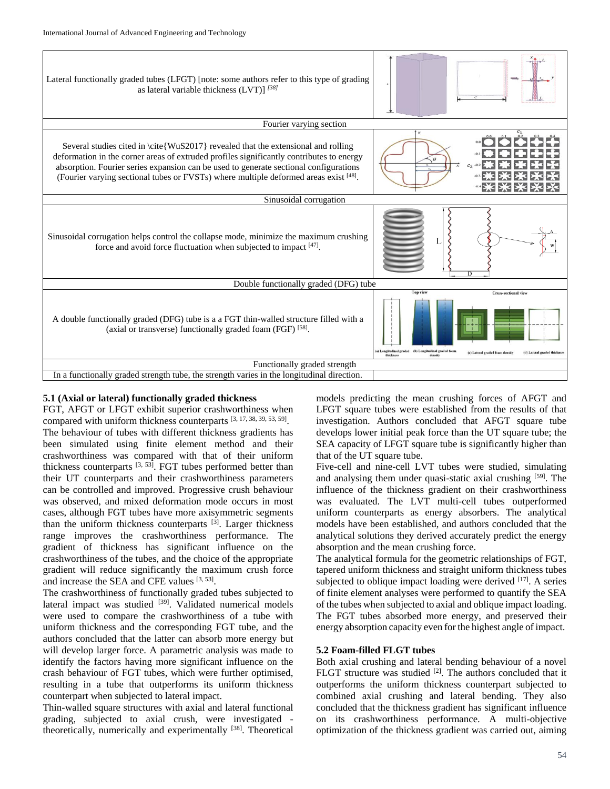

## **5.1 (Axial or lateral) functionally graded thickness**

FGT, AFGT or LFGT exhibit superior crashworthiness when compared with uniform thickness counterparts [3, 17, 38, 39, 53, 59]. The behaviour of tubes with different thickness gradients has been simulated using finite element method and their crashworthiness was compared with that of their uniform thickness counterparts  $[3, 53]$ . FGT tubes performed better than their UT counterparts and their crashworthiness parameters can be controlled and improved. Progressive crush behaviour was observed, and mixed deformation mode occurs in most cases, although FGT tubes have more axisymmetric segments than the uniform thickness counterparts [3]. Larger thickness range improves the crashworthiness performance. The gradient of thickness has significant influence on the crashworthiness of the tubes, and the choice of the appropriate gradient will reduce significantly the maximum crush force and increase the SEA and CFE values [3, 53].

The crashworthiness of functionally graded tubes subjected to lateral impact was studied  $[39]$ . Validated numerical models were used to compare the crashworthiness of a tube with uniform thickness and the corresponding FGT tube, and the authors concluded that the latter can absorb more energy but will develop larger force. A parametric analysis was made to identify the factors having more significant influence on the crash behaviour of FGT tubes, which were further optimised, resulting in a tube that outperforms its uniform thickness counterpart when subjected to lateral impact.

Thin-walled square structures with axial and lateral functional grading, subjected to axial crush, were investigated theoretically, numerically and experimentally [38]. Theoretical

models predicting the mean crushing forces of AFGT and LFGT square tubes were established from the results of that investigation. Authors concluded that AFGT square tube develops lower initial peak force than the UT square tube; the SEA capacity of LFGT square tube is significantly higher than that of the UT square tube.

Five-cell and nine-cell LVT tubes were studied, simulating and analysing them under quasi-static axial crushing [59]. The influence of the thickness gradient on their crashworthiness was evaluated. The LVT multi-cell tubes outperformed uniform counterparts as energy absorbers. The analytical models have been established, and authors concluded that the analytical solutions they derived accurately predict the energy absorption and the mean crushing force.

The analytical formula for the geometric relationships of FGT, tapered uniform thickness and straight uniform thickness tubes subjected to oblique impact loading were derived [17]. A series of finite element analyses were performed to quantify the SEA of the tubes when subjected to axial and oblique impact loading. The FGT tubes absorbed more energy, and preserved their energy absorption capacity even for the highest angle of impact.

## **5.2 Foam-filled FLGT tubes**

Both axial crushing and lateral bending behaviour of a novel FLGT structure was studied  $[2]$ . The authors concluded that it outperforms the uniform thickness counterpart subjected to combined axial crushing and lateral bending. They also concluded that the thickness gradient has significant influence on its crashworthiness performance. A multi-objective optimization of the thickness gradient was carried out, aiming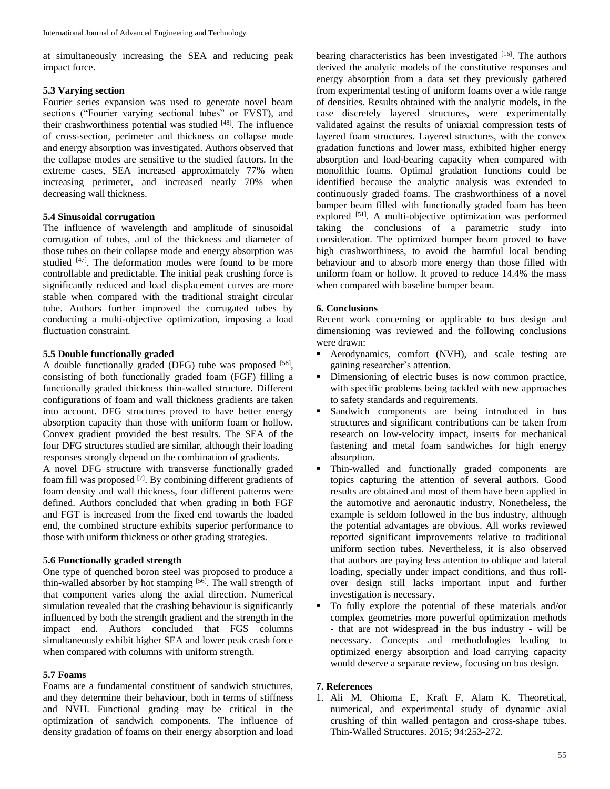at simultaneously increasing the SEA and reducing peak impact force.

## **5.3 Varying section**

Fourier series expansion was used to generate novel beam sections ("Fourier varying sectional tubes" or FVST), and their crashworthiness potential was studied [48]. The influence of cross-section, perimeter and thickness on collapse mode and energy absorption was investigated. Authors observed that the collapse modes are sensitive to the studied factors. In the extreme cases, SEA increased approximately 77% when increasing perimeter, and increased nearly 70% when decreasing wall thickness.

# **5.4 Sinusoidal corrugation**

The influence of wavelength and amplitude of sinusoidal corrugation of tubes, and of the thickness and diameter of those tubes on their collapse mode and energy absorption was studied [47]. The deformation modes were found to be more controllable and predictable. The initial peak crushing force is significantly reduced and load–displacement curves are more stable when compared with the traditional straight circular tube. Authors further improved the corrugated tubes by conducting a multi-objective optimization, imposing a load fluctuation constraint.

## **5.5 Double functionally graded**

A double functionally graded (DFG) tube was proposed [58], consisting of both functionally graded foam (FGF) filling a functionally graded thickness thin-walled structure. Different configurations of foam and wall thickness gradients are taken into account. DFG structures proved to have better energy absorption capacity than those with uniform foam or hollow. Convex gradient provided the best results. The SEA of the four DFG structures studied are similar, although their loading responses strongly depend on the combination of gradients.

A novel DFG structure with transverse functionally graded foam fill was proposed  $^{[7]}$ . By combining different gradients of foam density and wall thickness, four different patterns were defined. Authors concluded that when grading in both FGF and FGT is increased from the fixed end towards the loaded end, the combined structure exhibits superior performance to those with uniform thickness or other grading strategies.

# **5.6 Functionally graded strength**

One type of quenched boron steel was proposed to produce a thin-walled absorber by hot stamping  $[56]$ . The wall strength of that component varies along the axial direction. Numerical simulation revealed that the crashing behaviour is significantly influenced by both the strength gradient and the strength in the impact end. Authors concluded that FGS columns simultaneously exhibit higher SEA and lower peak crash force when compared with columns with uniform strength.

## **5.7 Foams**

Foams are a fundamental constituent of sandwich structures, and they determine their behaviour, both in terms of stiffness and NVH. Functional grading may be critical in the optimization of sandwich components. The influence of density gradation of foams on their energy absorption and load

bearing characteristics has been investigated [16]. The authors derived the analytic models of the constitutive responses and energy absorption from a data set they previously gathered from experimental testing of uniform foams over a wide range of densities. Results obtained with the analytic models, in the case discretely layered structures, were experimentally validated against the results of uniaxial compression tests of layered foam structures. Layered structures, with the convex gradation functions and lower mass, exhibited higher energy absorption and load-bearing capacity when compared with monolithic foams. Optimal gradation functions could be identified because the analytic analysis was extended to continuously graded foams. The crashworthiness of a novel bumper beam filled with functionally graded foam has been explored <sup>[51]</sup>. A multi-objective optimization was performed taking the conclusions of a parametric study into consideration. The optimized bumper beam proved to have high crashworthiness, to avoid the harmful local bending behaviour and to absorb more energy than those filled with uniform foam or hollow. It proved to reduce 14.4% the mass when compared with baseline bumper beam.

## **6. Conclusions**

Recent work concerning or applicable to bus design and dimensioning was reviewed and the following conclusions were drawn:

- Aerodynamics, comfort (NVH), and scale testing are gaining researcher's attention.
- Dimensioning of electric buses is now common practice, with specific problems being tackled with new approaches to safety standards and requirements.
- Sandwich components are being introduced in bus structures and significant contributions can be taken from research on low-velocity impact, inserts for mechanical fastening and metal foam sandwiches for high energy absorption.
- Thin-walled and functionally graded components are topics capturing the attention of several authors. Good results are obtained and most of them have been applied in the automotive and aeronautic industry. Nonetheless, the example is seldom followed in the bus industry, although the potential advantages are obvious. All works reviewed reported significant improvements relative to traditional uniform section tubes. Nevertheless, it is also observed that authors are paying less attention to oblique and lateral loading, specially under impact conditions, and thus rollover design still lacks important input and further investigation is necessary.
- To fully explore the potential of these materials and/or complex geometries more powerful optimization methods - that are not widespread in the bus industry - will be necessary. Concepts and methodologies leading to optimized energy absorption and load carrying capacity would deserve a separate review, focusing on bus design.

## **7. References**

1. Ali M, Ohioma E, Kraft F, Alam K. Theoretical, numerical, and experimental study of dynamic axial crushing of thin walled pentagon and cross-shape tubes. Thin-Walled Structures. 2015; 94:253-272.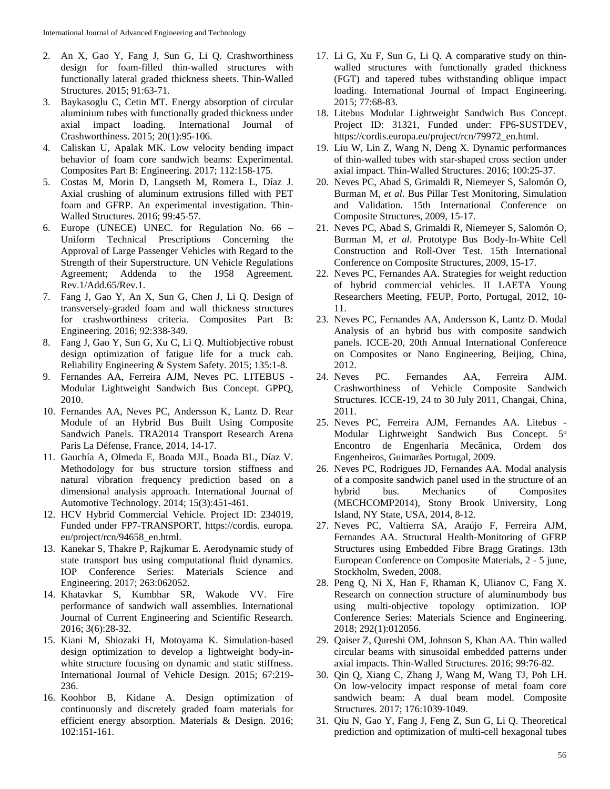- 2. An X, Gao Y, Fang J, Sun G, Li Q. Crashworthiness design for foam-filled thin-walled structures with functionally lateral graded thickness sheets. Thin-Walled Structures. 2015; 91:63-71.
- 3. Baykasoglu C, Cetin MT. Energy absorption of circular aluminium tubes with functionally graded thickness under axial impact loading. International Journal of Crashworthiness. 2015; 20(1):95-106.
- 4. Caliskan U, Apalak MK. Low velocity bending impact behavior of foam core sandwich beams: Experimental. Composites Part B: Engineering. 2017; 112:158-175.
- 5. Costas M, Morin D, Langseth M, Romera L, Díaz J. Axial crushing of aluminum extrusions filled with PET foam and GFRP. An experimental investigation. Thin-Walled Structures. 2016; 99:45-57.
- 6. Europe (UNECE) UNEC. for Regulation No. 66 Uniform Technical Prescriptions Concerning the Approval of Large Passenger Vehicles with Regard to the Strength of their Superstructure. UN Vehicle Regulations Agreement; Addenda to the 1958 Agreement. Rev.1/Add.65/Rev.1.
- 7. Fang J, Gao Y, An X, Sun G, Chen J, Li Q. Design of transversely-graded foam and wall thickness structures for crashworthiness criteria. Composites Part B: Engineering. 2016; 92:338-349.
- 8. Fang J, Gao Y, Sun G, Xu C, Li Q. Multiobjective robust design optimization of fatigue life for a truck cab. Reliability Engineering & System Safety. 2015; 135:1-8.
- 9. Fernandes AA, Ferreira AJM, Neves PC. LITEBUS Modular Lightweight Sandwich Bus Concept. GPPQ, 2010.
- 10. Fernandes AA, Neves PC, Andersson K, Lantz D. Rear Module of an Hybrid Bus Built Using Composite Sandwich Panels. TRA2014 Transport Research Arena Paris La Défense, France, 2014, 14-17.
- 11. Gauchía A, Olmeda E, Boada MJL, Boada BL, Díaz V. Methodology for bus structure torsion stiffness and natural vibration frequency prediction based on a dimensional analysis approach. International Journal of Automotive Technology. 2014; 15(3):451-461.
- 12. HCV Hybrid Commercial Vehicle. Project ID: 234019, Funded under FP7-TRANSPORT, https://cordis. europa. eu/project/rcn/94658\_en.html.
- 13. Kanekar S, Thakre P, Rajkumar E. Aerodynamic study of state transport bus using computational fluid dynamics. IOP Conference Series: Materials Science and Engineering. 2017; 263:062052.
- 14. Khatavkar S, Kumbhar SR, Wakode VV. Fire performance of sandwich wall assemblies. International Journal of Current Engineering and Scientific Research. 2016; 3(6):28-32.
- 15. Kiani M, Shiozaki H, Motoyama K. Simulation-based design optimization to develop a lightweight body-inwhite structure focusing on dynamic and static stiffness. International Journal of Vehicle Design. 2015; 67:219- 236.
- 16. Koohbor B, Kidane A. Design optimization of continuously and discretely graded foam materials for efficient energy absorption. Materials & Design. 2016; 102:151-161.
- 17. Li G, Xu F, Sun G, Li Q. A comparative study on thinwalled structures with functionally graded thickness (FGT) and tapered tubes withstanding oblique impact loading. International Journal of Impact Engineering. 2015; 77:68-83.
- 18. Litebus Modular Lightweight Sandwich Bus Concept. Project ID: 31321, Funded under: FP6-SUSTDEV, https://cordis.europa.eu/project/rcn/79972\_en.html.
- 19. Liu W, Lin Z, Wang N, Deng X. Dynamic performances of thin-walled tubes with star-shaped cross section under axial impact. Thin-Walled Structures. 2016; 100:25-37.
- 20. Neves PC, Abad S, Grimaldi R, Niemeyer S, Salomón O, Burman M, *et al*. Bus Pillar Test Monitoring, Simulation and Validation. 15th International Conference on Composite Structures, 2009, 15-17.
- 21. Neves PC, Abad S, Grimaldi R, Niemeyer S, Salomón O, Burman M, *et al*. Prototype Bus Body-In-White Cell Construction and Roll-Over Test. 15th International Conference on Composite Structures, 2009, 15-17.
- 22. Neves PC, Fernandes AA. Strategies for weight reduction of hybrid commercial vehicles. II LAETA Young Researchers Meeting, FEUP, Porto, Portugal, 2012, 10- 11.
- 23. Neves PC, Fernandes AA, Andersson K, Lantz D. Modal Analysis of an hybrid bus with composite sandwich panels. ICCE-20, 20th Annual International Conference on Composites or Nano Engineering, Beijing, China, 2012.
- 24. Neves PC. Fernandes AA, Ferreira AJM. Crashworthiness of Vehicle Composite Sandwich Structures. ICCE-19, 24 to 30 July 2011, Changai, China, 2011.
- 25. Neves PC, Ferreira AJM, Fernandes AA. Litebus Modular Lightweight Sandwich Bus Concept. 5° Encontro de Engenharia Mecânica, Ordem dos Engenheiros, Guimarães Portugal, 2009.
- 26. Neves PC, Rodrigues JD, Fernandes AA. Modal analysis of a composite sandwich panel used in the structure of an hybrid bus. Mechanics of Composites (MECHCOMP2014), Stony Brook University, Long Island, NY State, USA, 2014, 8-12.
- 27. Neves PC, Valtierra SA, Araújo F, Ferreira AJM, Fernandes AA. Structural Health-Monitoring of GFRP Structures using Embedded Fibre Bragg Gratings. 13th European Conference on Composite Materials, 2 - 5 june, Stockholm, Sweden, 2008.
- 28. Peng Q, Ni X, Han F, Rhaman K, Ulianov C, Fang X. Research on connection structure of aluminumbody bus using multi-objective topology optimization. IOP Conference Series: Materials Science and Engineering. 2018; 292(1):012056.
- 29. Qaiser Z, Qureshi OM, Johnson S, Khan AA. Thin walled circular beams with sinusoidal embedded patterns under axial impacts. Thin-Walled Structures. 2016; 99:76-82.
- 30. Qin Q, Xiang C, Zhang J, Wang M, Wang TJ, Poh LH. On low-velocity impact response of metal foam core sandwich beam: A dual beam model. Composite Structures. 2017; 176:1039-1049.
- 31. Qiu N, Gao Y, Fang J, Feng Z, Sun G, Li Q. Theoretical prediction and optimization of multi-cell hexagonal tubes